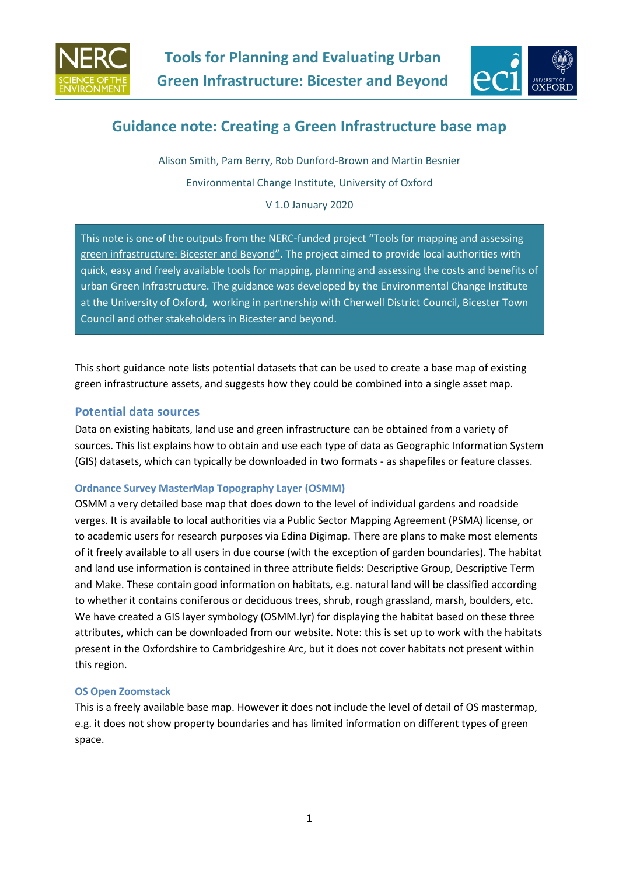



# **Guidance note: Creating a Green Infrastructure base map**

Alison Smith, Pam Berry, Rob Dunford-Brown and Martin Besnier Environmental Change Institute, University of Oxford

V 1.0 January 2020

This note is one of the outputs from the NERC-funded project ["Tools for mapping and assessing](https://www.eci.ox.ac.uk/research/ecosystems/bio-clim-adaptation/bicester-green-infrastructure.html)  [green infrastructure: Bice](https://www.eci.ox.ac.uk/research/ecosystems/bio-clim-adaptation/bicester-green-infrastructure.html)ster and Beyond". The project aimed to provide local authorities with quick, easy and freely available tools for mapping, planning and assessing the costs and benefits of urban Green Infrastructure. The guidance was developed by the Environmental Change Institute at the University of Oxford, working in partnership with Cherwell District Council, Bicester Town Council and other stakeholders in Bicester and beyond.

This short guidance note lists potential datasets that can be used to create a base map of existing green infrastructure assets, and suggests how they could be combined into a single asset map.

# **Potential data sources**

Data on existing habitats, land use and green infrastructure can be obtained from a variety of sources. This list explains how to obtain and use each type of data as Geographic Information System (GIS) datasets, which can typically be downloaded in two formats - as shapefiles or feature classes.

# **Ordnance Survey MasterMap Topography Layer (OSMM)**

OSMM a very detailed base map that does down to the level of individual gardens and roadside verges. It is available to local authorities via a Public Sector Mapping Agreement (PSMA) license, or to academic users for research purposes via Edina Digimap. There are plans to make most elements of it freely available to all users in due course (with the exception of garden boundaries). The habitat and land use information is contained in three attribute fields: Descriptive Group, Descriptive Term and Make. These contain good information on habitats, e.g. natural land will be classified according to whether it contains coniferous or deciduous trees, shrub, rough grassland, marsh, boulders, etc. We have created a GIS layer symbology (OSMM.lyr) for displaying the habitat based on these three attributes, which can be downloaded from our website. Note: this is set up to work with the habitats present in the Oxfordshire to Cambridgeshire Arc, but it does not cover habitats not present within this region.

# **OS Open Zoomstack**

This is a freely available base map. However it does not include the level of detail of OS mastermap, e.g. it does not show property boundaries and has limited information on different types of green space.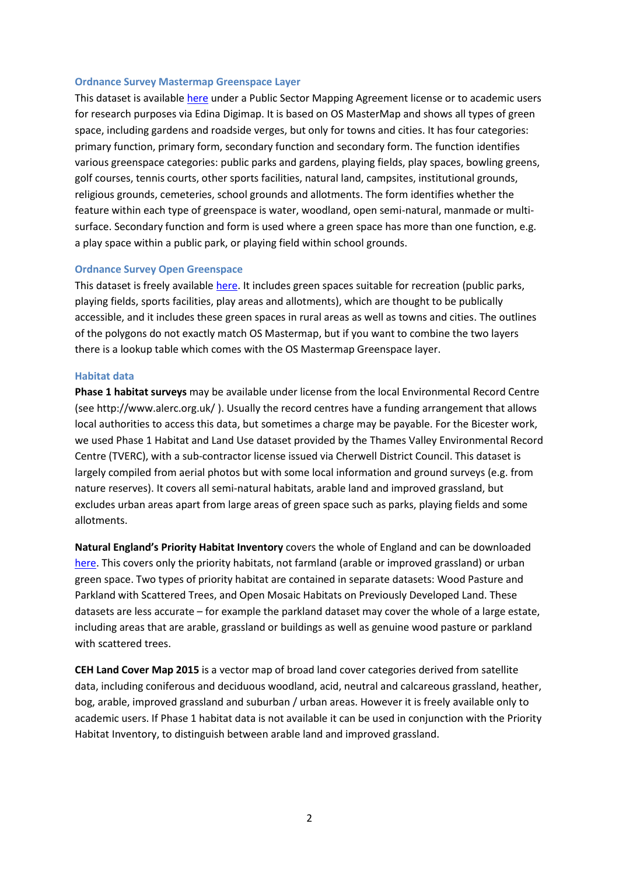#### **Ordnance Survey Mastermap Greenspace Layer**

This dataset is available [here](https://www.ordnancesurvey.co.uk/business-government/products/mastermap-greenspace) under a Public Sector Mapping Agreement license or to academic users for research purposes via Edina Digimap. It is based on OS MasterMap and shows all types of green space, including gardens and roadside verges, but only for towns and cities. It has four categories: primary function, primary form, secondary function and secondary form. The function identifies various greenspace categories: public parks and gardens, playing fields, play spaces, bowling greens, golf courses, tennis courts, other sports facilities, natural land, campsites, institutional grounds, religious grounds, cemeteries, school grounds and allotments. The form identifies whether the feature within each type of greenspace is water, woodland, open semi-natural, manmade or multisurface. Secondary function and form is used where a green space has more than one function, e.g. a play space within a public park, or playing field within school grounds.

## **Ordnance Survey Open Greenspace**

This dataset is freely available [here.](https://www.ordnancesurvey.co.uk/business-government/products/open-map-greenspace) It includes green spaces suitable for recreation (public parks, playing fields, sports facilities, play areas and allotments), which are thought to be publically accessible, and it includes these green spaces in rural areas as well as towns and cities. The outlines of the polygons do not exactly match OS Mastermap, but if you want to combine the two layers there is a lookup table which comes with the OS Mastermap Greenspace layer.

#### **Habitat data**

**Phase 1 habitat surveys** may be available under license from the local Environmental Record Centre (see http://www.alerc.org.uk/ ). Usually the record centres have a funding arrangement that allows local authorities to access this data, but sometimes a charge may be payable. For the Bicester work, we used Phase 1 Habitat and Land Use dataset provided by the Thames Valley Environmental Record Centre (TVERC), with a sub-contractor license issued via Cherwell District Council. This dataset is largely compiled from aerial photos but with some local information and ground surveys (e.g. from nature reserves). It covers all semi-natural habitats, arable land and improved grassland, but excludes urban areas apart from large areas of green space such as parks, playing fields and some allotments.

**Natural England's Priority Habitat Inventory** covers the whole of England and can be downloaded [here.](https://data.gov.uk/dataset/4b6ddab7-6c0f-4407-946e-d6499f19fcde/priority-habitat-inventory-england) This covers only the priority habitats, not farmland (arable or improved grassland) or urban green space. Two types of priority habitat are contained in separate datasets: Wood Pasture and Parkland with Scattered Trees, and Open Mosaic Habitats on Previously Developed Land. These datasets are less accurate – for example the parkland dataset may cover the whole of a large estate, including areas that are arable, grassland or buildings as well as genuine wood pasture or parkland with scattered trees.

**CEH Land Cover Map 2015** is a vector map of broad land cover categories derived from satellite data, including coniferous and deciduous woodland, acid, neutral and calcareous grassland, heather, bog, arable, improved grassland and suburban / urban areas. However it is freely available only to academic users. If Phase 1 habitat data is not available it can be used in conjunction with the Priority Habitat Inventory, to distinguish between arable land and improved grassland.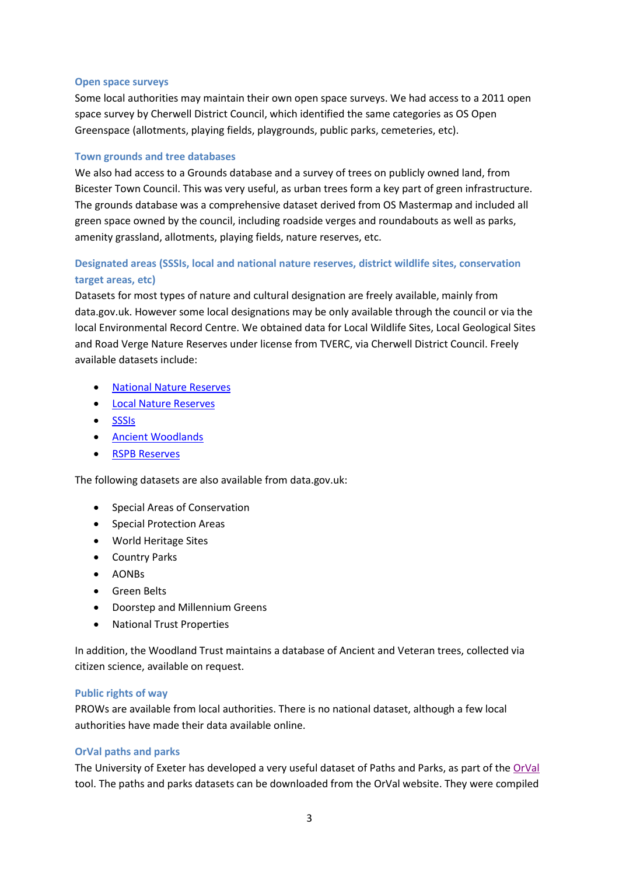## **Open space surveys**

Some local authorities may maintain their own open space surveys. We had access to a 2011 open space survey by Cherwell District Council, which identified the same categories as OS Open Greenspace (allotments, playing fields, playgrounds, public parks, cemeteries, etc).

## **Town grounds and tree databases**

We also had access to a Grounds database and a survey of trees on publicly owned land, from Bicester Town Council. This was very useful, as urban trees form a key part of green infrastructure. The grounds database was a comprehensive dataset derived from OS Mastermap and included all green space owned by the council, including roadside verges and roundabouts as well as parks, amenity grassland, allotments, playing fields, nature reserves, etc.

# **Designated areas (SSSIs, local and national nature reserves, district wildlife sites, conservation target areas, etc)**

Datasets for most types of nature and cultural designation are freely available, mainly from data.gov.uk. However some local designations may be only available through the council or via the local Environmental Record Centre. We obtained data for Local Wildlife Sites, Local Geological Sites and Road Verge Nature Reserves under license from TVERC, via Cherwell District Council. Freely available datasets include:

- [National Nature Reserves](https://data.gov.uk/dataset/726484b0-d14e-44a3-9621-29e79fc47bfc/national-nature-reserves-england)
- [Local Nature Reserves](https://data.gov.uk/dataset/acdf4a9e-a115-41fb-bbe9-603c819aa7f7/local-nature-reserves-england)
- [SSSIs](https://data.gov.uk/dataset/5b632bd7-9838-4ef2-9101-ea9384421b0d/sites-of-special-scientific-interest-england)
- [Ancient Woodlands](https://data.gov.uk/dataset/9461f463-c363-4309-ae77-fdcd7e9df7d3/ancient-woodland-england)
- **•** [RSPB Reserves](https://opendata-rspb.opendata.arcgis.com/search?tags=Boundaries)

The following datasets are also available from data.gov.uk:

- Special Areas of Conservation
- Special Protection Areas
- World Heritage Sites
- Country Parks
- AONBs
- **•** Green Belts
- Doorstep and Millennium Greens
- National Trust Properties

In addition, the Woodland Trust maintains a database of Ancient and Veteran trees, collected via citizen science, available on request.

# **Public rights of way**

PROWs are available from local authorities. There is no national dataset, although a few local authorities have made their data available online.

# **OrVal paths and parks**

The University of Exeter has developed a very useful dataset of Paths and Parks, as part of th[e OrVal](https://www.leep.exeter.ac.uk/orval/) tool. The paths and parks datasets can be downloaded from the OrVal website. They were compiled